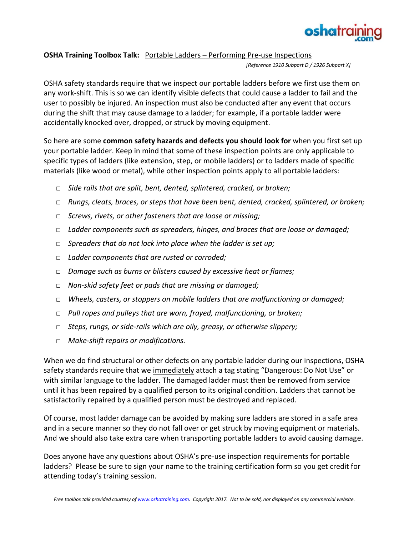

## **OSHA Training Toolbox Talk:** Portable Ladders – Performing Pre-use Inspections

*[Reference 1910 Subpart D / 1926 Subpart X]*

OSHA safety standards require that we inspect our portable ladders before we first use them on any work-shift. This is so we can identify visible defects that could cause a ladder to fail and the user to possibly be injured. An inspection must also be conducted after any event that occurs during the shift that may cause damage to a ladder; for example, if a portable ladder were accidentally knocked over, dropped, or struck by moving equipment.

So here are some **common safety hazards and defects you should look for** when you first set up your portable ladder. Keep in mind that some of these inspection points are only applicable to specific types of ladders (like extension, step, or mobile ladders) or to ladders made of specific materials (like wood or metal), while other inspection points apply to all portable ladders:

- □ *Side rails that are split, bent, dented, splintered, cracked, or broken;*
- □ *Rungs, cleats, braces, or steps that have been bent, dented, cracked, splintered, or broken;*
- □ *Screws, rivets, or other fasteners that are loose or missing;*
- □ *Ladder components such as spreaders, hinges, and braces that are loose or damaged;*
- □ *Spreaders that do not lock into place when the ladder is set up;*
- □ *Ladder components that are rusted or corroded;*
- □ *Damage such as burns or blisters caused by excessive heat or flames;*
- □ *Non-skid safety feet or pads that are missing or damaged;*
- □ *Wheels, casters, or stoppers on mobile ladders that are malfunctioning or damaged;*
- □ *Pull ropes and pulleys that are worn, frayed, malfunctioning, or broken;*
- □ *Steps, rungs, or side-rails which are oily, greasy, or otherwise slippery;*
- □ *Make-shift repairs or modifications.*

When we do find structural or other defects on any portable ladder during our inspections, OSHA safety standards require that we immediately attach a tag stating "Dangerous: Do Not Use" or with similar language to the ladder. The damaged ladder must then be removed from service until it has been repaired by a qualified person to its original condition. Ladders that cannot be satisfactorily repaired by a qualified person must be destroyed and replaced.

Of course, most ladder damage can be avoided by making sure ladders are stored in a safe area and in a secure manner so they do not fall over or get struck by moving equipment or materials. And we should also take extra care when transporting portable ladders to avoid causing damage.

Does anyone have any questions about OSHA's pre-use inspection requirements for portable ladders? Please be sure to sign your name to the training certification form so you get credit for attending today's training session.